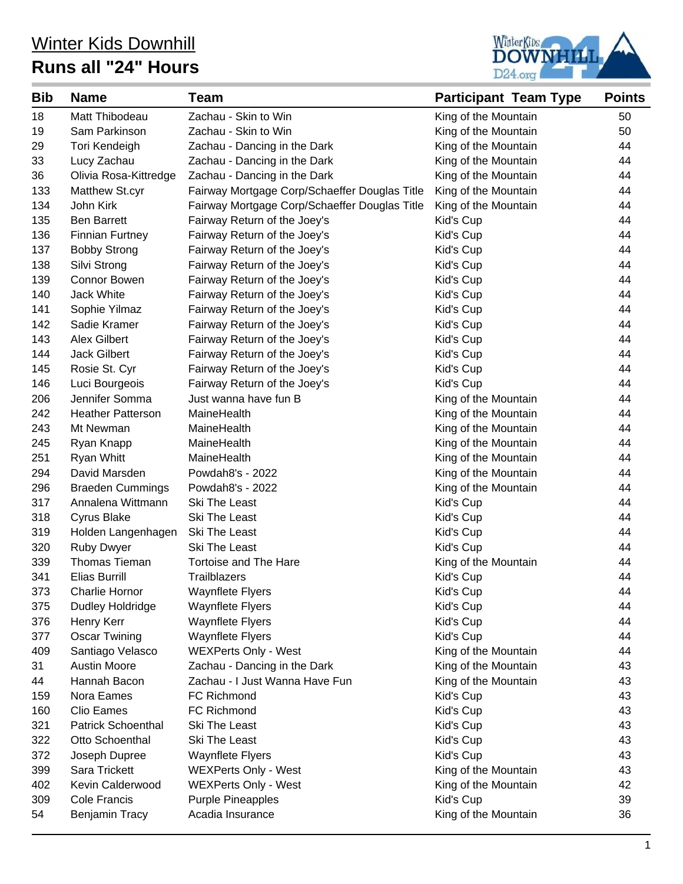## Winter Kids Downhill **Runs all "24" Hours**



| <b>Bib</b> | <b>Name</b>               | <b>Team</b>                                   | <b>Participant Team Type</b> | <b>Points</b> |
|------------|---------------------------|-----------------------------------------------|------------------------------|---------------|
| 18         | Matt Thibodeau            | Zachau - Skin to Win                          | King of the Mountain         | 50            |
| 19         | Sam Parkinson             | Zachau - Skin to Win                          | King of the Mountain         | 50            |
| 29         | Tori Kendeigh             | Zachau - Dancing in the Dark                  | King of the Mountain         | 44            |
| 33         | Lucy Zachau               | Zachau - Dancing in the Dark                  | King of the Mountain         | 44            |
| 36         | Olivia Rosa-Kittredge     | Zachau - Dancing in the Dark                  | King of the Mountain         | 44            |
| 133        | Matthew St.cyr            | Fairway Mortgage Corp/Schaeffer Douglas Title | King of the Mountain         | 44            |
| 134        | John Kirk                 | Fairway Mortgage Corp/Schaeffer Douglas Title | King of the Mountain         | 44            |
| 135        | <b>Ben Barrett</b>        | Fairway Return of the Joey's                  | Kid's Cup                    | 44            |
| 136        | <b>Finnian Furtney</b>    | Fairway Return of the Joey's                  | Kid's Cup                    | 44            |
| 137        | <b>Bobby Strong</b>       | Fairway Return of the Joey's                  | Kid's Cup                    | 44            |
| 138        | Silvi Strong              | Fairway Return of the Joey's                  | Kid's Cup                    | 44            |
| 139        | Connor Bowen              | Fairway Return of the Joey's                  | Kid's Cup                    | 44            |
| 140        | <b>Jack White</b>         | Fairway Return of the Joey's                  | Kid's Cup                    | 44            |
| 141        | Sophie Yilmaz             | Fairway Return of the Joey's                  | Kid's Cup                    | 44            |
| 142        | Sadie Kramer              | Fairway Return of the Joey's                  | Kid's Cup                    | 44            |
| 143        | Alex Gilbert              | Fairway Return of the Joey's                  | Kid's Cup                    | 44            |
| 144        | <b>Jack Gilbert</b>       | Fairway Return of the Joey's                  | Kid's Cup                    | 44            |
| 145        | Rosie St. Cyr             | Fairway Return of the Joey's                  | Kid's Cup                    | 44            |
| 146        | Luci Bourgeois            | Fairway Return of the Joey's                  | Kid's Cup                    | 44            |
| 206        | Jennifer Somma            | Just wanna have fun B                         | King of the Mountain         | 44            |
| 242        | <b>Heather Patterson</b>  | MaineHealth                                   | King of the Mountain         | 44            |
| 243        | Mt Newman                 | MaineHealth                                   | King of the Mountain         | 44            |
| 245        | Ryan Knapp                | MaineHealth                                   | King of the Mountain         | 44            |
| 251        | Ryan Whitt                | MaineHealth                                   | King of the Mountain         | 44            |
| 294        | David Marsden             | Powdah8's - 2022                              | King of the Mountain         | 44            |
| 296        | <b>Braeden Cummings</b>   | Powdah8's - 2022                              | King of the Mountain         | 44            |
| 317        | Annalena Wittmann         | Ski The Least                                 | Kid's Cup                    | 44            |
| 318        | Cyrus Blake               | Ski The Least                                 | Kid's Cup                    | 44            |
| 319        | Holden Langenhagen        | Ski The Least                                 | Kid's Cup                    | 44            |
| 320        | Ruby Dwyer                | Ski The Least                                 | Kid's Cup                    | 44            |
| 339        | Thomas Tieman             | <b>Tortoise and The Hare</b>                  | King of the Mountain         | 44            |
| 341        | Elias Burrill             | <b>Trailblazers</b>                           | Kid's Cup                    | 44            |
| 373        | Charlie Hornor            | <b>Waynflete Flyers</b>                       | Kid's Cup                    | 44            |
| 375        | Dudley Holdridge          | <b>Waynflete Flyers</b>                       | Kid's Cup                    | 44            |
| 376        | Henry Kerr                | <b>Waynflete Flyers</b>                       | Kid's Cup                    | 44            |
| 377        | <b>Oscar Twining</b>      | <b>Waynflete Flyers</b>                       | Kid's Cup                    | 44            |
| 409        | Santiago Velasco          | <b>WEXPerts Only - West</b>                   | King of the Mountain         | 44            |
| 31         | <b>Austin Moore</b>       | Zachau - Dancing in the Dark                  | King of the Mountain         | 43            |
| 44         | Hannah Bacon              | Zachau - I Just Wanna Have Fun                | King of the Mountain         | 43            |
| 159        | Nora Eames                | FC Richmond                                   | Kid's Cup                    | 43            |
| 160        | Clio Eames                | FC Richmond                                   | Kid's Cup                    | 43            |
| 321        | <b>Patrick Schoenthal</b> | Ski The Least                                 | Kid's Cup                    | 43            |
| 322        | Otto Schoenthal           | Ski The Least                                 | Kid's Cup                    | 43            |
| 372        | Joseph Dupree             | <b>Waynflete Flyers</b>                       | Kid's Cup                    | 43            |
| 399        | Sara Trickett             | <b>WEXPerts Only - West</b>                   | King of the Mountain         | 43            |
| 402        | Kevin Calderwood          | <b>WEXPerts Only - West</b>                   | King of the Mountain         | 42            |
| 309        | Cole Francis              | <b>Purple Pineapples</b>                      | Kid's Cup                    | 39            |
| 54         | Benjamin Tracy            | Acadia Insurance                              | King of the Mountain         | 36            |